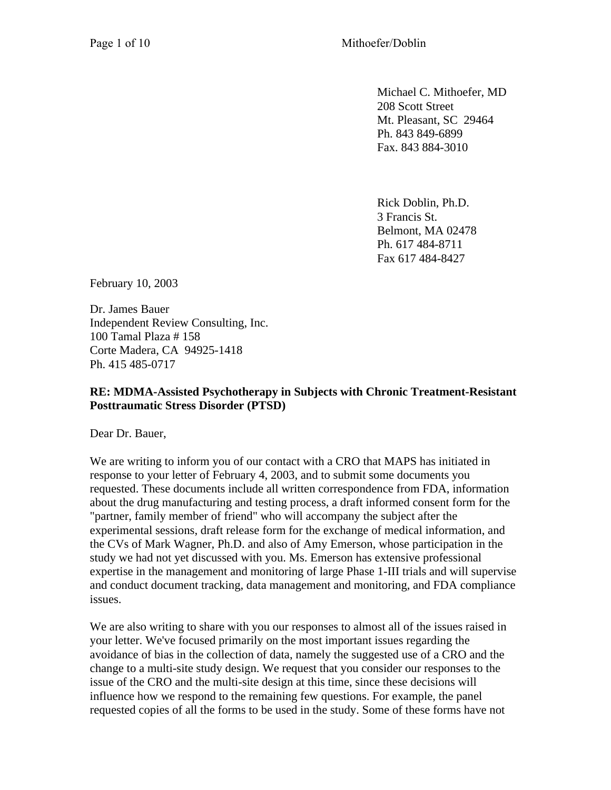Michael C. Mithoefer, MD 208 Scott Street Mt. Pleasant, SC 29464 Ph. 843 849-6899 Fax. 843 884-3010

Rick Doblin, Ph.D. 3 Francis St. Belmont, MA 02478 Ph. 617 484-8711 Fax 617 484-8427

February 10, 2003

Dr. James Bauer Independent Review Consulting, Inc. 100 Tamal Plaza # 158 Corte Madera, CA 94925-1418 Ph. 415 485-0717

#### **RE: MDMA-Assisted Psychotherapy in Subjects with Chronic Treatment-Resistant Posttraumatic Stress Disorder (PTSD)**

Dear Dr. Bauer,

We are writing to inform you of our contact with a CRO that MAPS has initiated in response to your letter of February 4, 2003, and to submit some documents you requested. These documents include all written correspondence from FDA, information about the drug manufacturing and testing process, a draft informed consent form for the "partner, family member of friend" who will accompany the subject after the experimental sessions, draft release form for the exchange of medical information, and the CVs of Mark Wagner, Ph.D. and also of Amy Emerson, whose participation in the study we had not yet discussed with you. Ms. Emerson has extensive professional expertise in the management and monitoring of large Phase 1-III trials and will supervise and conduct document tracking, data management and monitoring, and FDA compliance issues.

We are also writing to share with you our responses to almost all of the issues raised in your letter. We've focused primarily on the most important issues regarding the avoidance of bias in the collection of data, namely the suggested use of a CRO and the change to a multi-site study design. We request that you consider our responses to the issue of the CRO and the multi-site design at this time, since these decisions will influence how we respond to the remaining few questions. For example, the panel requested copies of all the forms to be used in the study. Some of these forms have not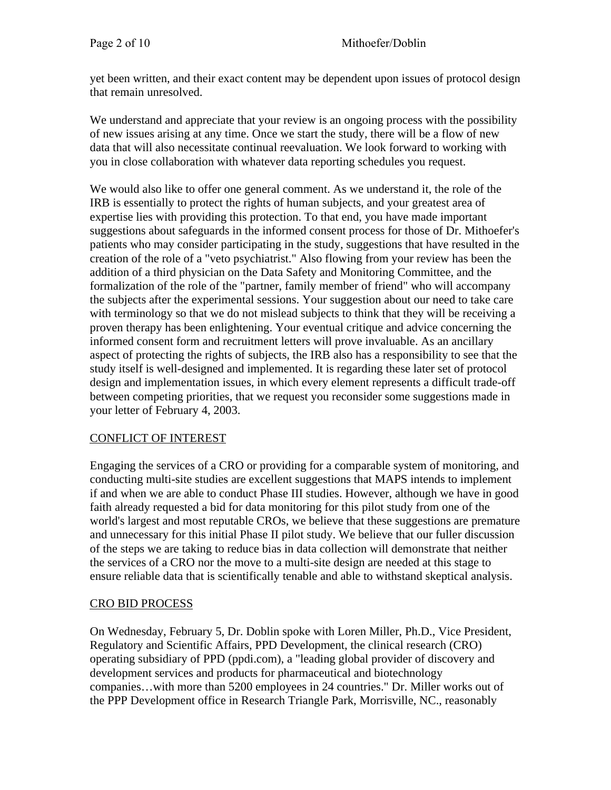yet been written, and their exact content may be dependent upon issues of protocol design that remain unresolved.

We understand and appreciate that your review is an ongoing process with the possibility of new issues arising at any time. Once we start the study, there will be a flow of new data that will also necessitate continual reevaluation. We look forward to working with you in close collaboration with whatever data reporting schedules you request.

We would also like to offer one general comment. As we understand it, the role of the IRB is essentially to protect the rights of human subjects, and your greatest area of expertise lies with providing this protection. To that end, you have made important suggestions about safeguards in the informed consent process for those of Dr. Mithoefer's patients who may consider participating in the study, suggestions that have resulted in the creation of the role of a "veto psychiatrist." Also flowing from your review has been the addition of a third physician on the Data Safety and Monitoring Committee, and the formalization of the role of the "partner, family member of friend" who will accompany the subjects after the experimental sessions. Your suggestion about our need to take care with terminology so that we do not mislead subjects to think that they will be receiving a proven therapy has been enlightening. Your eventual critique and advice concerning the informed consent form and recruitment letters will prove invaluable. As an ancillary aspect of protecting the rights of subjects, the IRB also has a responsibility to see that the study itself is well-designed and implemented. It is regarding these later set of protocol design and implementation issues, in which every element represents a difficult trade-off between competing priorities, that we request you reconsider some suggestions made in your letter of February 4, 2003.

# CONFLICT OF INTEREST

Engaging the services of a CRO or providing for a comparable system of monitoring, and conducting multi-site studies are excellent suggestions that MAPS intends to implement if and when we are able to conduct Phase III studies. However, although we have in good faith already requested a bid for data monitoring for this pilot study from one of the world's largest and most reputable CROs, we believe that these suggestions are premature and unnecessary for this initial Phase II pilot study. We believe that our fuller discussion of the steps we are taking to reduce bias in data collection will demonstrate that neither the services of a CRO nor the move to a multi-site design are needed at this stage to ensure reliable data that is scientifically tenable and able to withstand skeptical analysis.

# CRO BID PROCESS

On Wednesday, February 5, Dr. Doblin spoke with Loren Miller, Ph.D., Vice President, Regulatory and Scientific Affairs, PPD Development, the clinical research (CRO) operating subsidiary of PPD (ppdi.com), a "leading global provider of discovery and development services and products for pharmaceutical and biotechnology companies…with more than 5200 employees in 24 countries." Dr. Miller works out of the PPP Development office in Research Triangle Park, Morrisville, NC., reasonably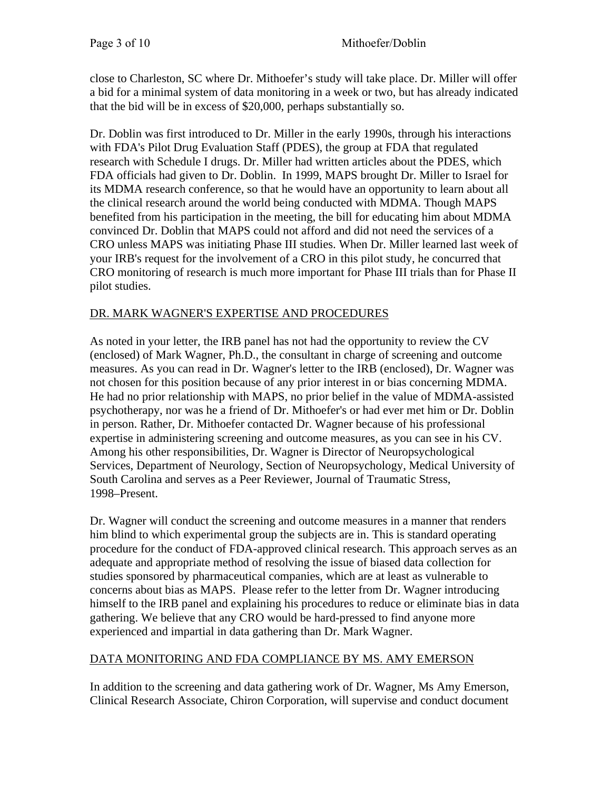close to Charleston, SC where Dr. Mithoefer's study will take place. Dr. Miller will offer a bid for a minimal system of data monitoring in a week or two, but has already indicated that the bid will be in excess of \$20,000, perhaps substantially so.

Dr. Doblin was first introduced to Dr. Miller in the early 1990s, through his interactions with FDA's Pilot Drug Evaluation Staff (PDES), the group at FDA that regulated research with Schedule I drugs. Dr. Miller had written articles about the PDES, which FDA officials had given to Dr. Doblin. In 1999, MAPS brought Dr. Miller to Israel for its MDMA research conference, so that he would have an opportunity to learn about all the clinical research around the world being conducted with MDMA. Though MAPS benefited from his participation in the meeting, the bill for educating him about MDMA convinced Dr. Doblin that MAPS could not afford and did not need the services of a CRO unless MAPS was initiating Phase III studies. When Dr. Miller learned last week of your IRB's request for the involvement of a CRO in this pilot study, he concurred that CRO monitoring of research is much more important for Phase III trials than for Phase II pilot studies.

#### DR. MARK WAGNER'S EXPERTISE AND PROCEDURES

As noted in your letter, the IRB panel has not had the opportunity to review the CV (enclosed) of Mark Wagner, Ph.D., the consultant in charge of screening and outcome measures. As you can read in Dr. Wagner's letter to the IRB (enclosed), Dr. Wagner was not chosen for this position because of any prior interest in or bias concerning MDMA. He had no prior relationship with MAPS, no prior belief in the value of MDMA-assisted psychotherapy, nor was he a friend of Dr. Mithoefer's or had ever met him or Dr. Doblin in person. Rather, Dr. Mithoefer contacted Dr. Wagner because of his professional expertise in administering screening and outcome measures, as you can see in his CV. Among his other responsibilities, Dr. Wagner is Director of Neuropsychological Services, Department of Neurology, Section of Neuropsychology, Medical University of South Carolina and serves as a Peer Reviewer, Journal of Traumatic Stress, 1998–Present.

Dr. Wagner will conduct the screening and outcome measures in a manner that renders him blind to which experimental group the subjects are in. This is standard operating procedure for the conduct of FDA-approved clinical research. This approach serves as an adequate and appropriate method of resolving the issue of biased data collection for studies sponsored by pharmaceutical companies, which are at least as vulnerable to concerns about bias as MAPS. Please refer to the letter from Dr. Wagner introducing himself to the IRB panel and explaining his procedures to reduce or eliminate bias in data gathering. We believe that any CRO would be hard-pressed to find anyone more experienced and impartial in data gathering than Dr. Mark Wagner.

# DATA MONITORING AND FDA COMPLIANCE BY MS. AMY EMERSON

In addition to the screening and data gathering work of Dr. Wagner, Ms Amy Emerson, Clinical Research Associate, Chiron Corporation, will supervise and conduct document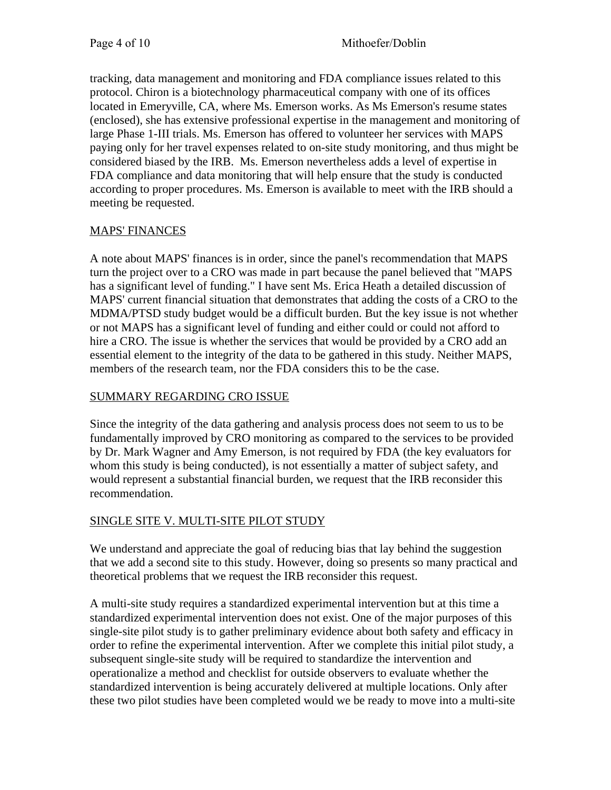tracking, data management and monitoring and FDA compliance issues related to this protocol. Chiron is a biotechnology pharmaceutical company with one of its offices located in Emeryville, CA, where Ms. Emerson works. As Ms Emerson's resume states (enclosed), she has extensive professional expertise in the management and monitoring of large Phase 1-III trials. Ms. Emerson has offered to volunteer her services with MAPS paying only for her travel expenses related to on-site study monitoring, and thus might be considered biased by the IRB. Ms. Emerson nevertheless adds a level of expertise in FDA compliance and data monitoring that will help ensure that the study is conducted according to proper procedures. Ms. Emerson is available to meet with the IRB should a meeting be requested.

# MAPS' FINANCES

A note about MAPS' finances is in order, since the panel's recommendation that MAPS turn the project over to a CRO was made in part because the panel believed that "MAPS has a significant level of funding." I have sent Ms. Erica Heath a detailed discussion of MAPS' current financial situation that demonstrates that adding the costs of a CRO to the MDMA/PTSD study budget would be a difficult burden. But the key issue is not whether or not MAPS has a significant level of funding and either could or could not afford to hire a CRO. The issue is whether the services that would be provided by a CRO add an essential element to the integrity of the data to be gathered in this study. Neither MAPS, members of the research team, nor the FDA considers this to be the case.

#### SUMMARY REGARDING CRO ISSUE

Since the integrity of the data gathering and analysis process does not seem to us to be fundamentally improved by CRO monitoring as compared to the services to be provided by Dr. Mark Wagner and Amy Emerson, is not required by FDA (the key evaluators for whom this study is being conducted), is not essentially a matter of subject safety, and would represent a substantial financial burden, we request that the IRB reconsider this recommendation.

# SINGLE SITE V. MULTI-SITE PILOT STUDY

We understand and appreciate the goal of reducing bias that lay behind the suggestion that we add a second site to this study. However, doing so presents so many practical and theoretical problems that we request the IRB reconsider this request.

A multi-site study requires a standardized experimental intervention but at this time a standardized experimental intervention does not exist. One of the major purposes of this single-site pilot study is to gather preliminary evidence about both safety and efficacy in order to refine the experimental intervention. After we complete this initial pilot study, a subsequent single-site study will be required to standardize the intervention and operationalize a method and checklist for outside observers to evaluate whether the standardized intervention is being accurately delivered at multiple locations. Only after these two pilot studies have been completed would we be ready to move into a multi-site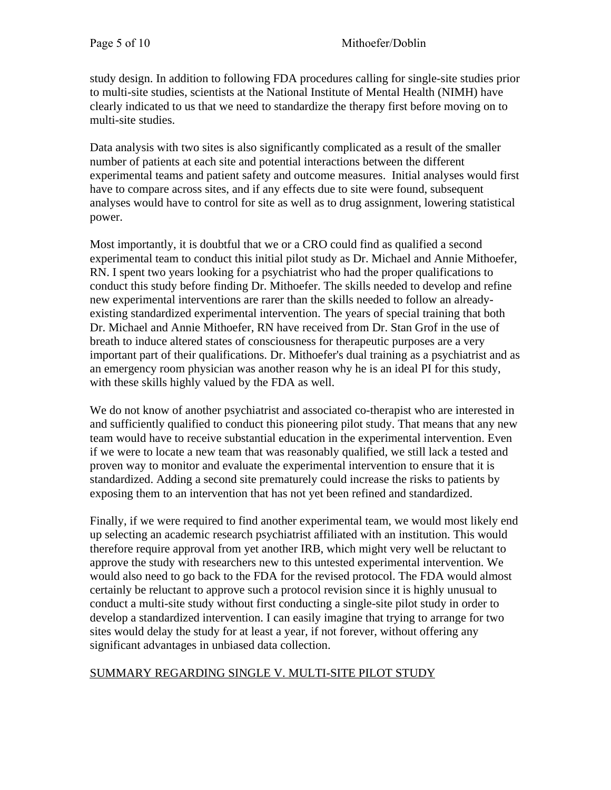study design. In addition to following FDA procedures calling for single-site studies prior to multi-site studies, scientists at the National Institute of Mental Health (NIMH) have clearly indicated to us that we need to standardize the therapy first before moving on to multi-site studies.

Data analysis with two sites is also significantly complicated as a result of the smaller number of patients at each site and potential interactions between the different experimental teams and patient safety and outcome measures. Initial analyses would first have to compare across sites, and if any effects due to site were found, subsequent analyses would have to control for site as well as to drug assignment, lowering statistical power.

Most importantly, it is doubtful that we or a CRO could find as qualified a second experimental team to conduct this initial pilot study as Dr. Michael and Annie Mithoefer, RN. I spent two years looking for a psychiatrist who had the proper qualifications to conduct this study before finding Dr. Mithoefer. The skills needed to develop and refine new experimental interventions are rarer than the skills needed to follow an alreadyexisting standardized experimental intervention. The years of special training that both Dr. Michael and Annie Mithoefer, RN have received from Dr. Stan Grof in the use of breath to induce altered states of consciousness for therapeutic purposes are a very important part of their qualifications. Dr. Mithoefer's dual training as a psychiatrist and as an emergency room physician was another reason why he is an ideal PI for this study, with these skills highly valued by the FDA as well.

We do not know of another psychiatrist and associated co-therapist who are interested in and sufficiently qualified to conduct this pioneering pilot study. That means that any new team would have to receive substantial education in the experimental intervention. Even if we were to locate a new team that was reasonably qualified, we still lack a tested and proven way to monitor and evaluate the experimental intervention to ensure that it is standardized. Adding a second site prematurely could increase the risks to patients by exposing them to an intervention that has not yet been refined and standardized.

Finally, if we were required to find another experimental team, we would most likely end up selecting an academic research psychiatrist affiliated with an institution. This would therefore require approval from yet another IRB, which might very well be reluctant to approve the study with researchers new to this untested experimental intervention. We would also need to go back to the FDA for the revised protocol. The FDA would almost certainly be reluctant to approve such a protocol revision since it is highly unusual to conduct a multi-site study without first conducting a single-site pilot study in order to develop a standardized intervention. I can easily imagine that trying to arrange for two sites would delay the study for at least a year, if not forever, without offering any significant advantages in unbiased data collection.

#### SUMMARY REGARDING SINGLE V. MULTI-SITE PILOT STUDY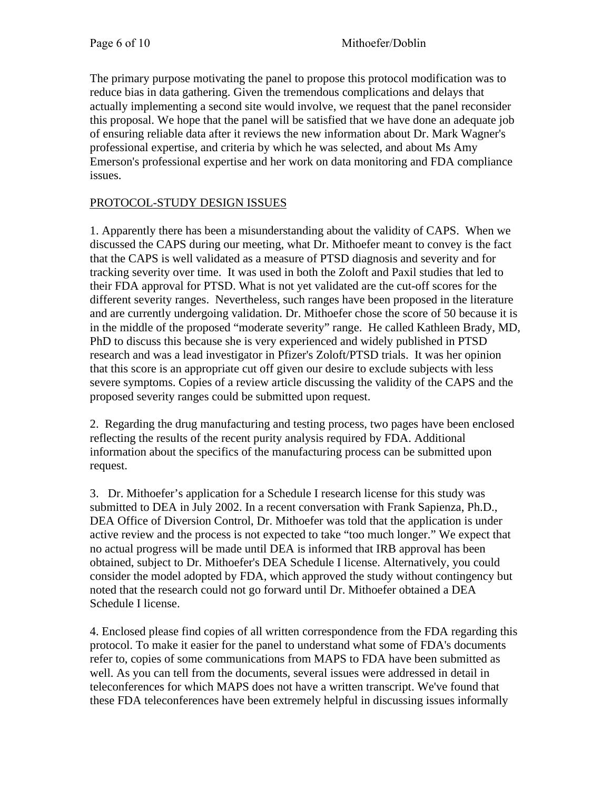The primary purpose motivating the panel to propose this protocol modification was to reduce bias in data gathering. Given the tremendous complications and delays that actually implementing a second site would involve, we request that the panel reconsider this proposal. We hope that the panel will be satisfied that we have done an adequate job of ensuring reliable data after it reviews the new information about Dr. Mark Wagner's professional expertise, and criteria by which he was selected, and about Ms Amy Emerson's professional expertise and her work on data monitoring and FDA compliance issues.

# PROTOCOL-STUDY DESIGN ISSUES

1. Apparently there has been a misunderstanding about the validity of CAPS. When we discussed the CAPS during our meeting, what Dr. Mithoefer meant to convey is the fact that the CAPS is well validated as a measure of PTSD diagnosis and severity and for tracking severity over time. It was used in both the Zoloft and Paxil studies that led to their FDA approval for PTSD. What is not yet validated are the cut-off scores for the different severity ranges. Nevertheless, such ranges have been proposed in the literature and are currently undergoing validation. Dr. Mithoefer chose the score of 50 because it is in the middle of the proposed "moderate severity" range. He called Kathleen Brady, MD, PhD to discuss this because she is very experienced and widely published in PTSD research and was a lead investigator in Pfizer's Zoloft/PTSD trials. It was her opinion that this score is an appropriate cut off given our desire to exclude subjects with less severe symptoms. Copies of a review article discussing the validity of the CAPS and the proposed severity ranges could be submitted upon request.

2. Regarding the drug manufacturing and testing process, two pages have been enclosed reflecting the results of the recent purity analysis required by FDA. Additional information about the specifics of the manufacturing process can be submitted upon request.

3. Dr. Mithoefer's application for a Schedule I research license for this study was submitted to DEA in July 2002. In a recent conversation with Frank Sapienza, Ph.D., DEA Office of Diversion Control, Dr. Mithoefer was told that the application is under active review and the process is not expected to take "too much longer." We expect that no actual progress will be made until DEA is informed that IRB approval has been obtained, subject to Dr. Mithoefer's DEA Schedule I license. Alternatively, you could consider the model adopted by FDA, which approved the study without contingency but noted that the research could not go forward until Dr. Mithoefer obtained a DEA Schedule I license.

4. Enclosed please find copies of all written correspondence from the FDA regarding this protocol. To make it easier for the panel to understand what some of FDA's documents refer to, copies of some communications from MAPS to FDA have been submitted as well. As you can tell from the documents, several issues were addressed in detail in teleconferences for which MAPS does not have a written transcript. We've found that these FDA teleconferences have been extremely helpful in discussing issues informally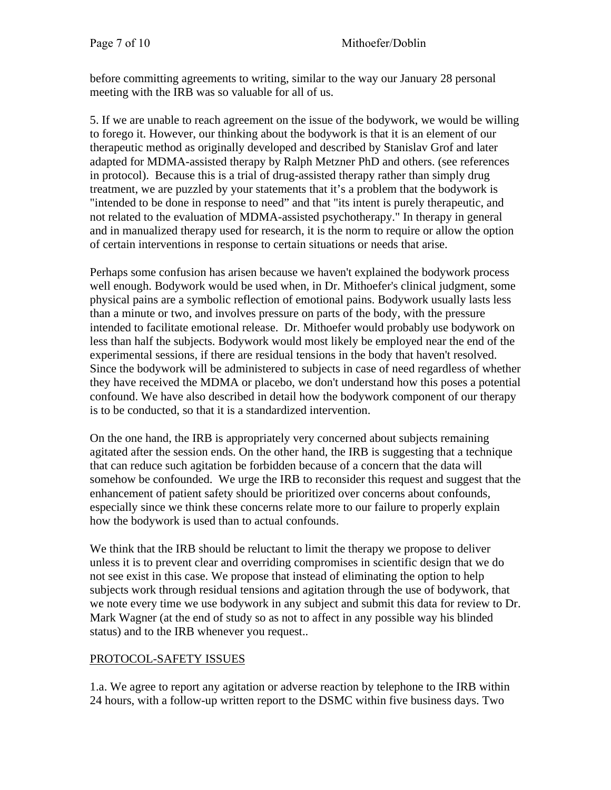before committing agreements to writing, similar to the way our January 28 personal meeting with the IRB was so valuable for all of us.

5. If we are unable to reach agreement on the issue of the bodywork, we would be willing to forego it. However, our thinking about the bodywork is that it is an element of our therapeutic method as originally developed and described by Stanislav Grof and later adapted for MDMA-assisted therapy by Ralph Metzner PhD and others. (see references in protocol). Because this is a trial of drug-assisted therapy rather than simply drug treatment, we are puzzled by your statements that it's a problem that the bodywork is "intended to be done in response to need" and that "its intent is purely therapeutic, and not related to the evaluation of MDMA-assisted psychotherapy." In therapy in general and in manualized therapy used for research, it is the norm to require or allow the option of certain interventions in response to certain situations or needs that arise.

Perhaps some confusion has arisen because we haven't explained the bodywork process well enough. Bodywork would be used when, in Dr. Mithoefer's clinical judgment, some physical pains are a symbolic reflection of emotional pains. Bodywork usually lasts less than a minute or two, and involves pressure on parts of the body, with the pressure intended to facilitate emotional release. Dr. Mithoefer would probably use bodywork on less than half the subjects. Bodywork would most likely be employed near the end of the experimental sessions, if there are residual tensions in the body that haven't resolved. Since the bodywork will be administered to subjects in case of need regardless of whether they have received the MDMA or placebo, we don't understand how this poses a potential confound. We have also described in detail how the bodywork component of our therapy is to be conducted, so that it is a standardized intervention.

On the one hand, the IRB is appropriately very concerned about subjects remaining agitated after the session ends. On the other hand, the IRB is suggesting that a technique that can reduce such agitation be forbidden because of a concern that the data will somehow be confounded. We urge the IRB to reconsider this request and suggest that the enhancement of patient safety should be prioritized over concerns about confounds, especially since we think these concerns relate more to our failure to properly explain how the bodywork is used than to actual confounds.

We think that the IRB should be reluctant to limit the therapy we propose to deliver unless it is to prevent clear and overriding compromises in scientific design that we do not see exist in this case. We propose that instead of eliminating the option to help subjects work through residual tensions and agitation through the use of bodywork, that we note every time we use bodywork in any subject and submit this data for review to Dr. Mark Wagner (at the end of study so as not to affect in any possible way his blinded status) and to the IRB whenever you request..

# PROTOCOL-SAFETY ISSUES

1.a. We agree to report any agitation or adverse reaction by telephone to the IRB within 24 hours, with a follow-up written report to the DSMC within five business days. Two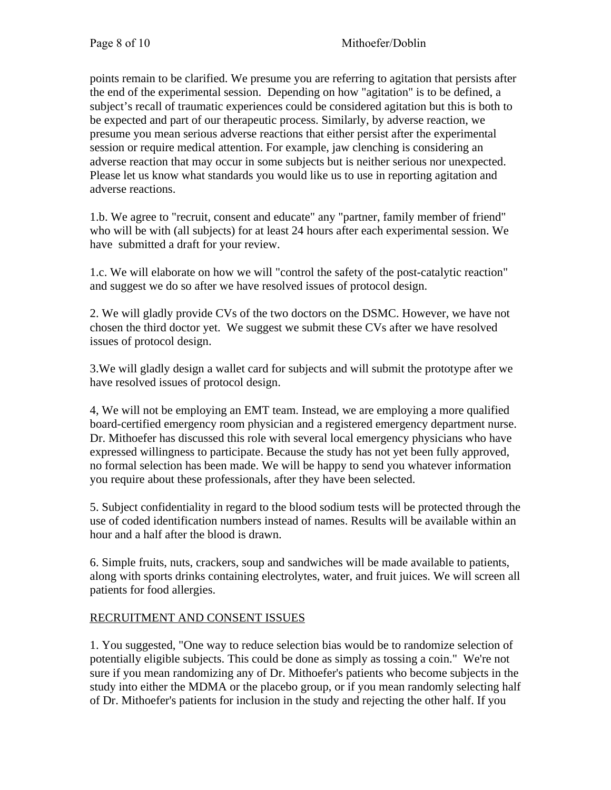points remain to be clarified. We presume you are referring to agitation that persists after the end of the experimental session. Depending on how "agitation" is to be defined, a subject's recall of traumatic experiences could be considered agitation but this is both to be expected and part of our therapeutic process. Similarly, by adverse reaction, we presume you mean serious adverse reactions that either persist after the experimental session or require medical attention. For example, jaw clenching is considering an adverse reaction that may occur in some subjects but is neither serious nor unexpected. Please let us know what standards you would like us to use in reporting agitation and adverse reactions.

1.b. We agree to "recruit, consent and educate" any "partner, family member of friend" who will be with (all subjects) for at least 24 hours after each experimental session. We have submitted a draft for your review.

1.c. We will elaborate on how we will "control the safety of the post-catalytic reaction" and suggest we do so after we have resolved issues of protocol design.

2. We will gladly provide CVs of the two doctors on the DSMC. However, we have not chosen the third doctor yet. We suggest we submit these CVs after we have resolved issues of protocol design.

3.We will gladly design a wallet card for subjects and will submit the prototype after we have resolved issues of protocol design.

4, We will not be employing an EMT team. Instead, we are employing a more qualified board-certified emergency room physician and a registered emergency department nurse. Dr. Mithoefer has discussed this role with several local emergency physicians who have expressed willingness to participate. Because the study has not yet been fully approved, no formal selection has been made. We will be happy to send you whatever information you require about these professionals, after they have been selected.

5. Subject confidentiality in regard to the blood sodium tests will be protected through the use of coded identification numbers instead of names. Results will be available within an hour and a half after the blood is drawn.

6. Simple fruits, nuts, crackers, soup and sandwiches will be made available to patients, along with sports drinks containing electrolytes, water, and fruit juices. We will screen all patients for food allergies.

# RECRUITMENT AND CONSENT ISSUES

1. You suggested, "One way to reduce selection bias would be to randomize selection of potentially eligible subjects. This could be done as simply as tossing a coin." We're not sure if you mean randomizing any of Dr. Mithoefer's patients who become subjects in the study into either the MDMA or the placebo group, or if you mean randomly selecting half of Dr. Mithoefer's patients for inclusion in the study and rejecting the other half. If you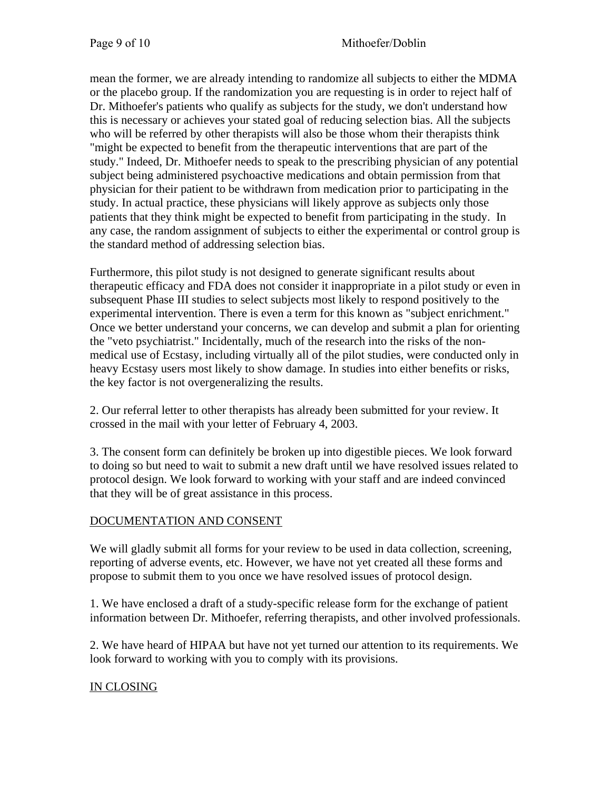mean the former, we are already intending to randomize all subjects to either the MDMA or the placebo group. If the randomization you are requesting is in order to reject half of Dr. Mithoefer's patients who qualify as subjects for the study, we don't understand how this is necessary or achieves your stated goal of reducing selection bias. All the subjects who will be referred by other therapists will also be those whom their therapists think "might be expected to benefit from the therapeutic interventions that are part of the study." Indeed, Dr. Mithoefer needs to speak to the prescribing physician of any potential subject being administered psychoactive medications and obtain permission from that physician for their patient to be withdrawn from medication prior to participating in the study. In actual practice, these physicians will likely approve as subjects only those patients that they think might be expected to benefit from participating in the study. In any case, the random assignment of subjects to either the experimental or control group is the standard method of addressing selection bias.

Furthermore, this pilot study is not designed to generate significant results about therapeutic efficacy and FDA does not consider it inappropriate in a pilot study or even in subsequent Phase III studies to select subjects most likely to respond positively to the experimental intervention. There is even a term for this known as "subject enrichment." Once we better understand your concerns, we can develop and submit a plan for orienting the "veto psychiatrist." Incidentally, much of the research into the risks of the nonmedical use of Ecstasy, including virtually all of the pilot studies, were conducted only in heavy Ecstasy users most likely to show damage. In studies into either benefits or risks, the key factor is not overgeneralizing the results.

2. Our referral letter to other therapists has already been submitted for your review. It crossed in the mail with your letter of February 4, 2003.

3. The consent form can definitely be broken up into digestible pieces. We look forward to doing so but need to wait to submit a new draft until we have resolved issues related to protocol design. We look forward to working with your staff and are indeed convinced that they will be of great assistance in this process.

# DOCUMENTATION AND CONSENT

We will gladly submit all forms for your review to be used in data collection, screening, reporting of adverse events, etc. However, we have not yet created all these forms and propose to submit them to you once we have resolved issues of protocol design.

1. We have enclosed a draft of a study-specific release form for the exchange of patient information between Dr. Mithoefer, referring therapists, and other involved professionals.

2. We have heard of HIPAA but have not yet turned our attention to its requirements. We look forward to working with you to comply with its provisions.

# IN CLOSING